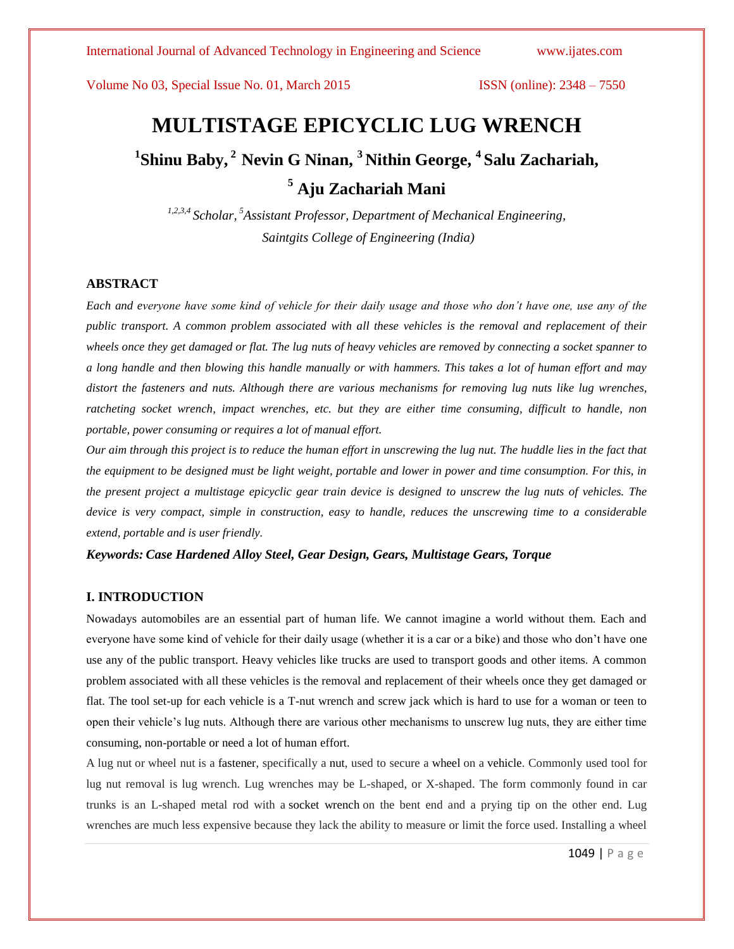# **MULTISTAGE EPICYCLIC LUG WRENCH 1 Shinu Baby, <sup>2</sup>Nevin G Ninan, <sup>3</sup>Nithin George, <sup>4</sup>Salu Zachariah, <sup>5</sup> Aju Zachariah Mani**

*1,2,3,4 Scholar, <sup>5</sup>Assistant Professor, Department of Mechanical Engineering, Saintgits College of Engineering (India)*

#### **ABSTRACT**

*Each and everyone have some kind of vehicle for their daily usage and those who don't have one, use any of the public transport. A common problem associated with all these vehicles is the removal and replacement of their wheels once they get damaged or flat. The lug nuts of heavy vehicles are removed by connecting a socket spanner to a long handle and then blowing this handle manually or with hammers. This takes a lot of human effort and may distort the fasteners and nuts. Although there are various mechanisms for removing lug nuts like lug wrenches, ratcheting socket wrench, impact wrenches, etc. but they are either time consuming, difficult to handle, non portable, power consuming or requires a lot of manual effort.*

*Our aim through this project is to reduce the human effort in unscrewing the lug nut. The huddle lies in the fact that the equipment to be designed must be light weight, portable and lower in power and time consumption. For this, in the present project a multistage epicyclic gear train device is designed to unscrew the lug nuts of vehicles. The device is very compact, simple in construction, easy to handle, reduces the unscrewing time to a considerable extend, portable and is user friendly.*

*Keywords: Case Hardened Alloy Steel, Gear Design, Gears, Multistage Gears, Torque*

#### **I. INTRODUCTION**

Nowadays automobiles are an essential part of human life. We cannot imagine a world without them. Each and everyone have some kind of vehicle for their daily usage (whether it is a car or a bike) and those who don't have one use any of the public transport. Heavy vehicles like trucks are used to transport goods and other items. A common problem associated with all these vehicles is the removal and replacement of their wheels once they get damaged or flat. The tool set-up for each vehicle is a T-nut wrench and screw jack which is hard to use for a woman or teen to open their vehicle's lug nuts. Although there are various other mechanisms to unscrew lug nuts, they are either time consuming, non-portable or need a lot of human effort.

A lug nut or wheel nut is a fastener, specifically a nut, used to secure a wheel on a vehicle. Commonly used tool for lug nut removal is lug wrench. Lug wrenches may be L-shaped, or X-shaped. The form commonly found in car trunks is an L-shaped metal rod with a socket wrench on the bent end and a prying tip on the other end. Lug wrenches are much less expensive because they lack the ability to measure or limit the force used. Installing a wheel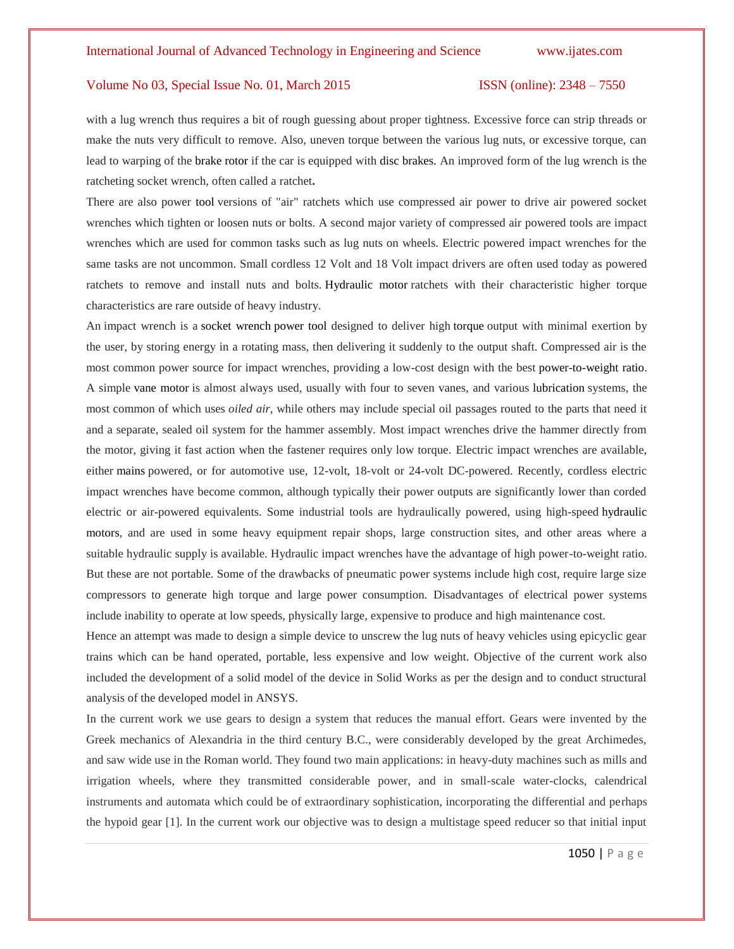with a lug wrench thus requires a bit of rough guessing about proper tightness. Excessive force can strip threads or make the nuts very difficult to remove. Also, uneven torque between the various lug nuts, or excessive torque, can lead to warping of the brake rotor if the car is equipped with disc brakes. An improved form of the lug wrench is the ratcheting socket wrench, often called a ratchet**.**

There are also power tool versions of "air" ratchets which use compressed air power to drive air powered socket wrenches which tighten or loosen nuts or bolts. A second major variety of compressed air powered tools are impact wrenches which are used for common tasks such as lug nuts on wheels. Electric powered impact wrenches for the same tasks are not uncommon. Small cordless 12 Volt and 18 Volt impact drivers are often used today as powered ratchets to remove and install nuts and bolts. Hydraulic motor ratchets with their characteristic higher torque characteristics are rare outside of heavy industry.

An impact wrench is a socket wrench power tool designed to deliver high torque output with minimal exertion by the user, by storing energy in a rotating mass, then delivering it suddenly to the output shaft. Compressed air is the most common power source for impact wrenches, providing a low-cost design with the best power-to-weight ratio. A simple vane motor is almost always used, usually with four to seven vanes, and various lubrication systems, the most common of which uses *oiled air*, while others may include special oil passages routed to the parts that need it and a separate, sealed oil system for the hammer assembly. Most impact wrenches drive the hammer directly from the motor, giving it fast action when the fastener requires only low torque. Electric impact wrenches are available, either mains powered, or for automotive use, 12-volt, 18-volt or 24-volt DC-powered. Recently, cordless electric impact wrenches have become common, although typically their power outputs are significantly lower than corded electric or air-powered equivalents. Some industrial tools are hydraulically powered, using high-speed hydraulic motors, and are used in some heavy equipment repair shops, large construction sites, and other areas where a suitable hydraulic supply is available. Hydraulic impact wrenches have the advantage of high power-to-weight ratio. But these are not portable. Some of the drawbacks of pneumatic power systems include high cost, require large size compressors to generate high torque and large power consumption. Disadvantages of electrical power systems include inability to operate at low speeds, physically large, expensive to produce and high maintenance cost.

Hence an attempt was made to design a simple device to unscrew the lug nuts of heavy vehicles using epicyclic gear trains which can be hand operated, portable, less expensive and low weight. Objective of the current work also included the development of a solid model of the device in Solid Works as per the design and to conduct structural analysis of the developed model in ANSYS.

In the current work we use gears to design a system that reduces the manual effort. Gears were invented by the Greek mechanics of Alexandria in the third century B.C., were considerably developed by the great Archimedes, and saw wide use in the Roman world. They found two main applications: in heavy-duty machines such as mills and irrigation wheels, where they transmitted considerable power, and in small-scale water-clocks, calendrical instruments and automata which could be of extraordinary sophistication, incorporating the differential and perhaps the hypoid gear [1]. In the current work our objective was to design a multistage speed reducer so that initial input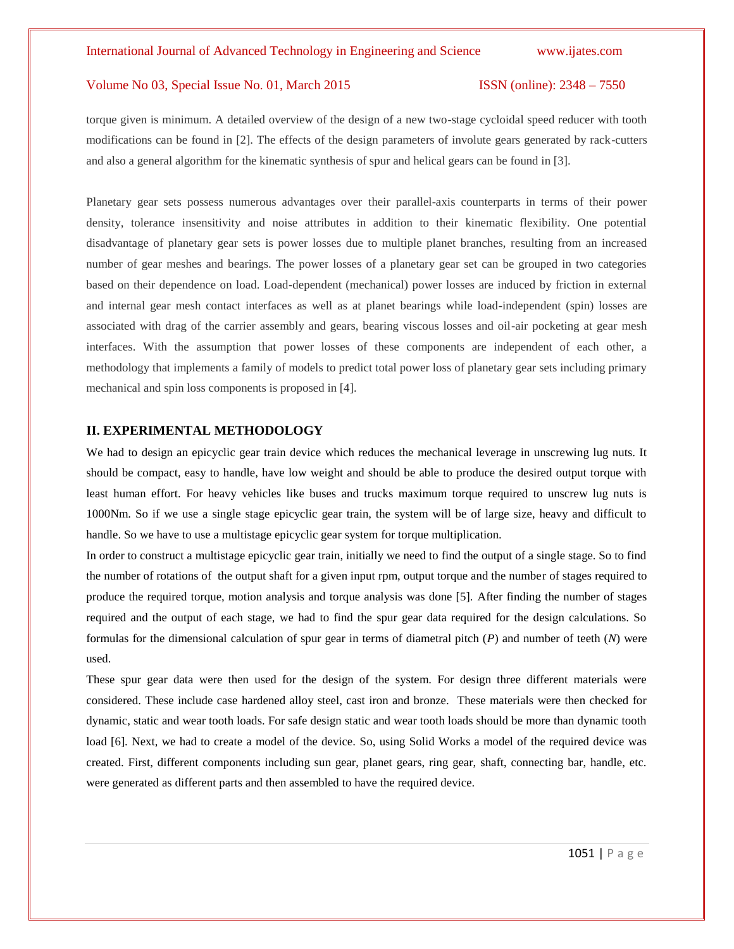torque given is minimum. A detailed overview of the design of a new two-stage cycloidal speed reducer with tooth modifications can be found in [2]. The effects of the design parameters of involute gears generated by rack-cutters and also a general algorithm for the kinematic synthesis of spur and helical gears can be found in [3].

Planetary gear sets possess numerous advantages over their parallel-axis counterparts in terms of their power density, tolerance insensitivity and noise attributes in addition to their kinematic flexibility. One potential disadvantage of planetary gear sets is power losses due to multiple planet branches, resulting from an increased number of gear meshes and bearings. The power losses of a planetary gear set can be grouped in two categories based on their dependence on load. Load-dependent (mechanical) power losses are induced by friction in external and internal gear mesh contact interfaces as well as at planet bearings while load-independent (spin) losses are associated with drag of the carrier assembly and gears, bearing viscous losses and oil-air pocketing at gear mesh interfaces. With the assumption that power losses of these components are independent of each other, a methodology that implements a family of models to predict total power loss of planetary gear sets including primary mechanical and spin loss components is proposed in [4].

#### **II. EXPERIMENTAL METHODOLOGY**

We had to design an epicyclic gear train device which reduces the mechanical leverage in unscrewing lug nuts. It should be compact, easy to handle, have low weight and should be able to produce the desired output torque with least human effort. For heavy vehicles like buses and trucks maximum torque required to unscrew lug nuts is 1000Nm. So if we use a single stage epicyclic gear train, the system will be of large size, heavy and difficult to handle. So we have to use a multistage epicyclic gear system for torque multiplication.

In order to construct a multistage epicyclic gear train, initially we need to find the output of a single stage. So to find the number of rotations of the output shaft for a given input rpm, output torque and the number of stages required to produce the required torque, motion analysis and torque analysis was done [5]. After finding the number of stages required and the output of each stage, we had to find the spur gear data required for the design calculations. So formulas for the dimensional calculation of spur gear in terms of diametral pitch (*P*) and number of teeth (*N*) were used.

These spur gear data were then used for the design of the system. For design three different materials were considered. These include case hardened alloy steel, cast iron and bronze. These materials were then checked for dynamic, static and wear tooth loads. For safe design static and wear tooth loads should be more than dynamic tooth load [6]. Next, we had to create a model of the device. So, using Solid Works a model of the required device was created. First, different components including sun gear, planet gears, ring gear, shaft, connecting bar, handle, etc. were generated as different parts and then assembled to have the required device.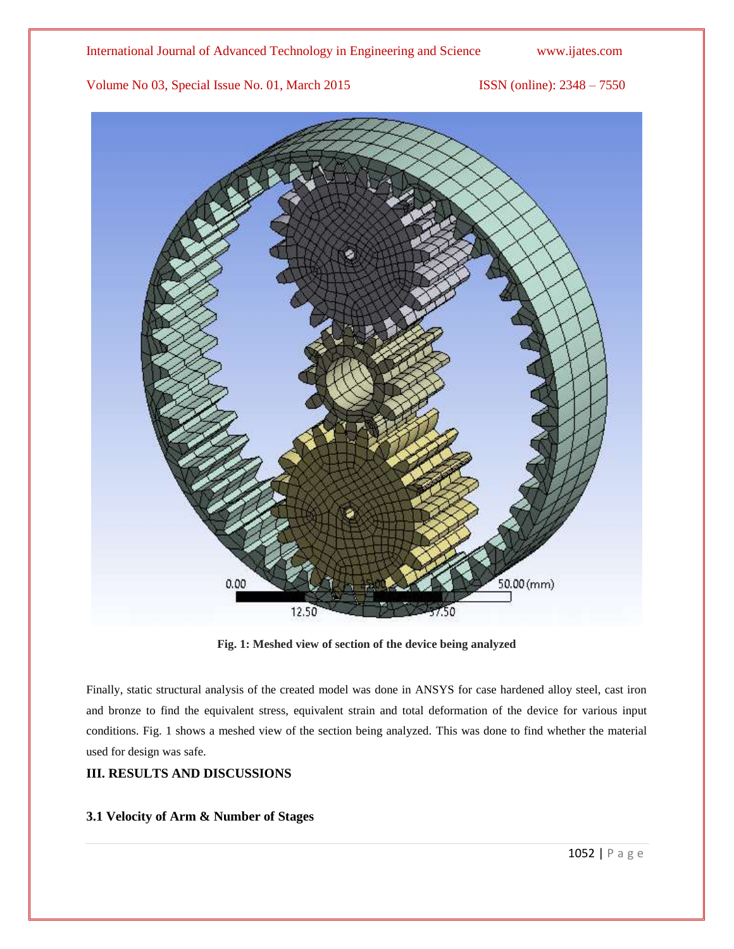International Journal of Advanced Technology in Engineering and Science www.ijates.com

Volume No 03, Special Issue No. 01, March 2015 ISSN (online): 2348 – 7550



**Fig. 1: Meshed view of section of the device being analyzed**

Finally, static structural analysis of the created model was done in ANSYS for case hardened alloy steel, cast iron and bronze to find the equivalent stress, equivalent strain and total deformation of the device for various input conditions. Fig. 1 shows a meshed view of the section being analyzed. This was done to find whether the material used for design was safe.

# **III. RESULTS AND DISCUSSIONS**

# **3.1 Velocity of Arm & Number of Stages**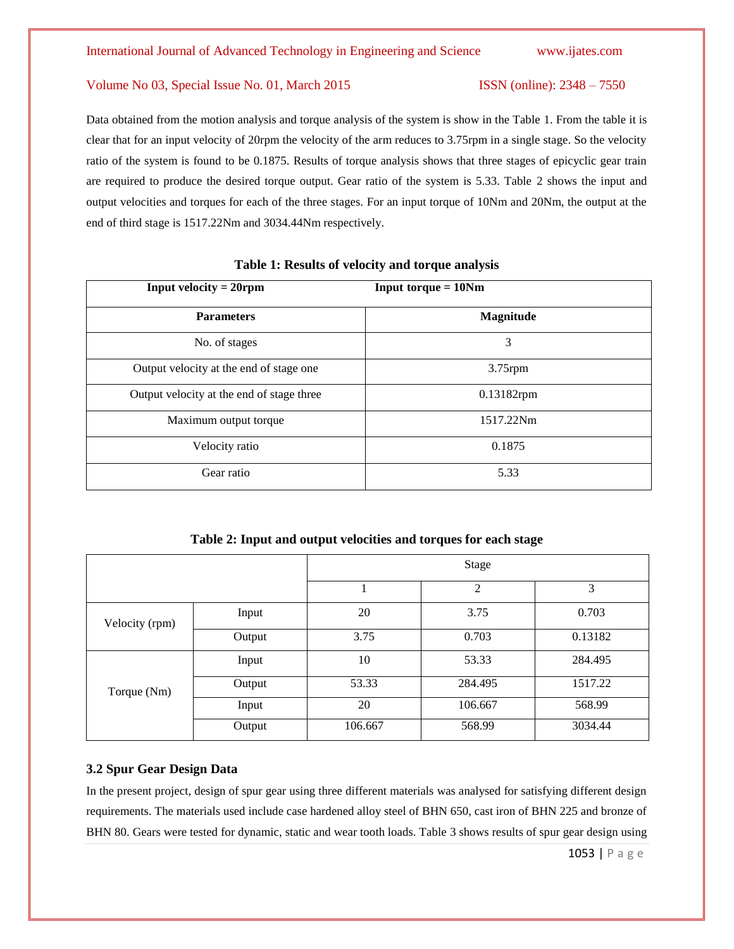Data obtained from the motion analysis and torque analysis of the system is show in the Table 1. From the table it is clear that for an input velocity of 20rpm the velocity of the arm reduces to 3.75rpm in a single stage. So the velocity ratio of the system is found to be 0.1875. Results of torque analysis shows that three stages of epicyclic gear train are required to produce the desired torque output. Gear ratio of the system is 5.33. Table 2 shows the input and output velocities and torques for each of the three stages. For an input torque of 10Nm and 20Nm, the output at the end of third stage is 1517.22Nm and 3034.44Nm respectively.

| <b>Input velocity = 20rpm</b>             | <b>Input torque = 10Nm</b> |
|-------------------------------------------|----------------------------|
| <b>Parameters</b>                         | Magnitude                  |
| No. of stages                             | 3                          |
| Output velocity at the end of stage one   | $3.75$ rpm                 |
| Output velocity at the end of stage three | 0.13182rpm                 |
| Maximum output torque                     | 1517.22Nm                  |
| Velocity ratio                            | 0.1875                     |
| Gear ratio                                | 5.33                       |

#### **Table 1: Results of velocity and torque analysis**

**Table 2: Input and output velocities and torques for each stage**

|                |        | Stage   |         |         |
|----------------|--------|---------|---------|---------|
|                |        |         | 2       | 3       |
| Velocity (rpm) | Input  | 20      | 3.75    | 0.703   |
|                | Output | 3.75    | 0.703   | 0.13182 |
| Torque (Nm)    | Input  | 10      | 53.33   | 284.495 |
|                | Output | 53.33   | 284.495 | 1517.22 |
|                | Input  | 20      | 106.667 | 568.99  |
|                | Output | 106.667 | 568.99  | 3034.44 |

### **3.2 Spur Gear Design Data**

In the present project, design of spur gear using three different materials was analysed for satisfying different design requirements. The materials used include case hardened alloy steel of BHN 650, cast iron of BHN 225 and bronze of BHN 80. Gears were tested for dynamic, static and wear tooth loads. Table 3 shows results of spur gear design using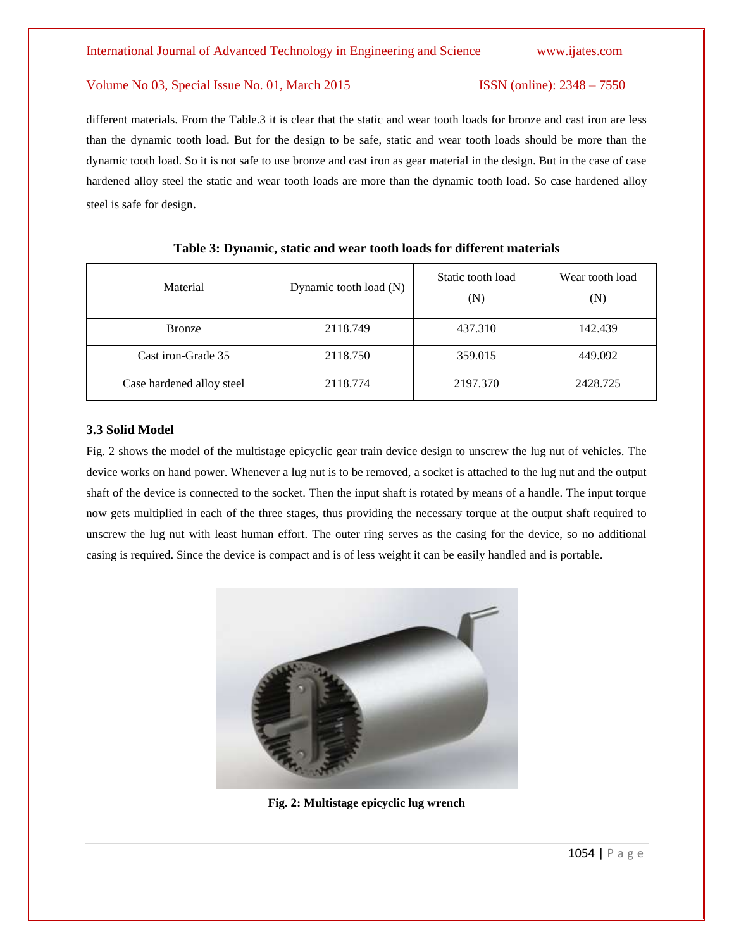different materials. From the Table.3 it is clear that the static and wear tooth loads for bronze and cast iron are less than the dynamic tooth load. But for the design to be safe, static and wear tooth loads should be more than the dynamic tooth load. So it is not safe to use bronze and cast iron as gear material in the design. But in the case of case hardened alloy steel the static and wear tooth loads are more than the dynamic tooth load. So case hardened alloy steel is safe for design.

| Material                  | Dynamic tooth load (N) | Static tooth load<br>(N) | Wear tooth load<br>(N) |
|---------------------------|------------------------|--------------------------|------------------------|
| <b>Bronze</b>             | 2118.749               | 437.310                  | 142.439                |
| Cast iron-Grade 35        | 2118.750               | 359.015                  | 449.092                |
| Case hardened alloy steel | 2118.774               | 2197.370                 | 2428.725               |

#### **Table 3: Dynamic, static and wear tooth loads for different materials**

#### **3.3 Solid Model**

Fig. 2 shows the model of the multistage epicyclic gear train device design to unscrew the lug nut of vehicles. The device works on hand power. Whenever a lug nut is to be removed, a socket is attached to the lug nut and the output shaft of the device is connected to the socket. Then the input shaft is rotated by means of a handle. The input torque now gets multiplied in each of the three stages, thus providing the necessary torque at the output shaft required to unscrew the lug nut with least human effort. The outer ring serves as the casing for the device, so no additional casing is required. Since the device is compact and is of less weight it can be easily handled and is portable.



**Fig. 2: Multistage epicyclic lug wrench**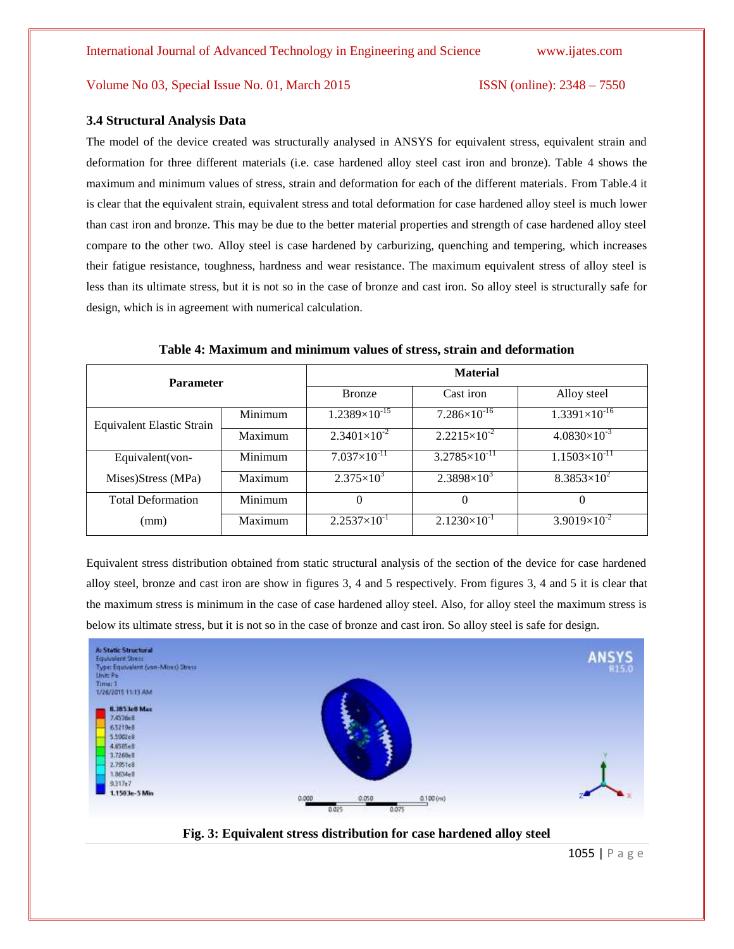#### **3.4 Structural Analysis Data**

The model of the device created was structurally analysed in ANSYS for equivalent stress, equivalent strain and deformation for three different materials (i.e. case hardened alloy steel cast iron and bronze). Table 4 shows the maximum and minimum values of stress, strain and deformation for each of the different materials. From Table.4 it is clear that the equivalent strain, equivalent stress and total deformation for case hardened alloy steel is much lower than cast iron and bronze. This may be due to the better material properties and strength of case hardened alloy steel compare to the other two. Alloy steel is case hardened by carburizing, quenching and tempering, which increases their fatigue resistance, toughness, hardness and wear resistance. The maximum equivalent stress of alloy steel is less than its ultimate stress, but it is not so in the case of bronze and cast iron. So alloy steel is structurally safe for design, which is in agreement with numerical calculation.

| <b>Parameter</b>          |         | <b>Material</b>        |                          |                        |
|---------------------------|---------|------------------------|--------------------------|------------------------|
|                           |         | <b>Bronze</b>          | Cast iron                | Alloy steel            |
| Equivalent Elastic Strain | Minimum | $1.2389\times10^{-15}$ | $7.286 \times 10^{-16}$  | $1.3391\times10^{-16}$ |
|                           | Maximum | $2.3401\times10^{-2}$  | $2.2215\times10^{-2}$    | $4.0830\times10^{-3}$  |
| Equivalent(von-           | Minimum | $7.037\times10^{-11}$  | $3.2785 \times 10^{-11}$ | $1.1503\times10^{-11}$ |
| Mises)Stress (MPa)        | Maximum | $2.375 \times 10^3$    | $2.3898\times10^{3}$     | $8.3853\times10^{2}$   |
| <b>Total Deformation</b>  | Minimum | $\theta$               | $\mathbf{0}$             | $\theta$               |
| (mm)                      | Maximum | $2.2537\times10^{-1}$  | $2.1230\times10^{-1}$    | $3.9019\times10^{-2}$  |

**Table 4: Maximum and minimum values of stress, strain and deformation**

Equivalent stress distribution obtained from static structural analysis of the section of the device for case hardened alloy steel, bronze and cast iron are show in figures 3, 4 and 5 respectively. From figures 3, 4 and 5 it is clear that the maximum stress is minimum in the case of case hardened alloy steel. Also, for alloy steel the maximum stress is below its ultimate stress, but it is not so in the case of bronze and cast iron. So alloy steel is safe for design.



**Fig. 3: Equivalent stress distribution for case hardened alloy steel**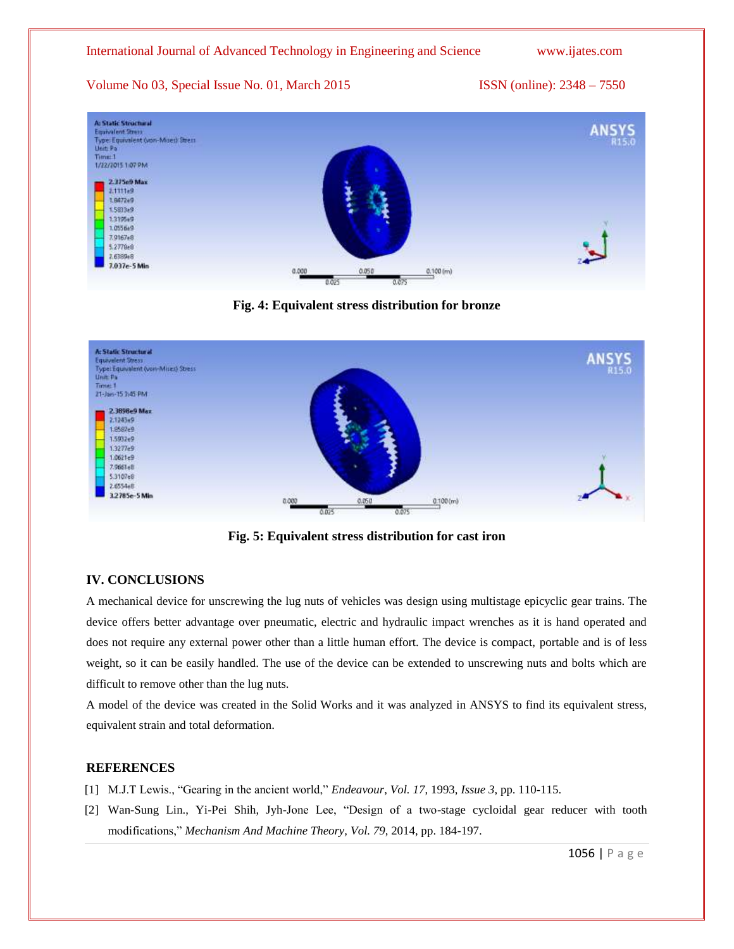## International Journal of Advanced Technology in Engineering and Science www.ijates.com

Volume No 03, Special Issue No. 01, March 2015 **ISSN** (online): 2348 – 7550



**Fig. 4: Equivalent stress distribution for bronze**



**Fig. 5: Equivalent stress distribution for cast iron**

# **IV. CONCLUSIONS**

A mechanical device for unscrewing the lug nuts of vehicles was design using multistage epicyclic gear trains. The device offers better advantage over pneumatic, electric and hydraulic impact wrenches as it is hand operated and does not require any external power other than a little human effort. The device is compact, portable and is of less weight, so it can be easily handled. The use of the device can be extended to unscrewing nuts and bolts which are difficult to remove other than the lug nuts.

A model of the device was created in the Solid Works and it was analyzed in ANSYS to find its equivalent stress, equivalent strain and total deformation.

# **REFERENCES**

- [1] M.J.T Lewis., "Gearing in the ancient world," *Endeavour*, *Vol. 17*, 1993, *Issue 3*, pp. 110-115.
- [2] Wan-Sung Lin., Yi-Pei Shih, Jyh-Jone Lee, "Design of a two-stage cycloidal gear reducer with tooth modifications," *Mechanism And Machine Theory, Vol. 79*, 2014, pp. 184-197.